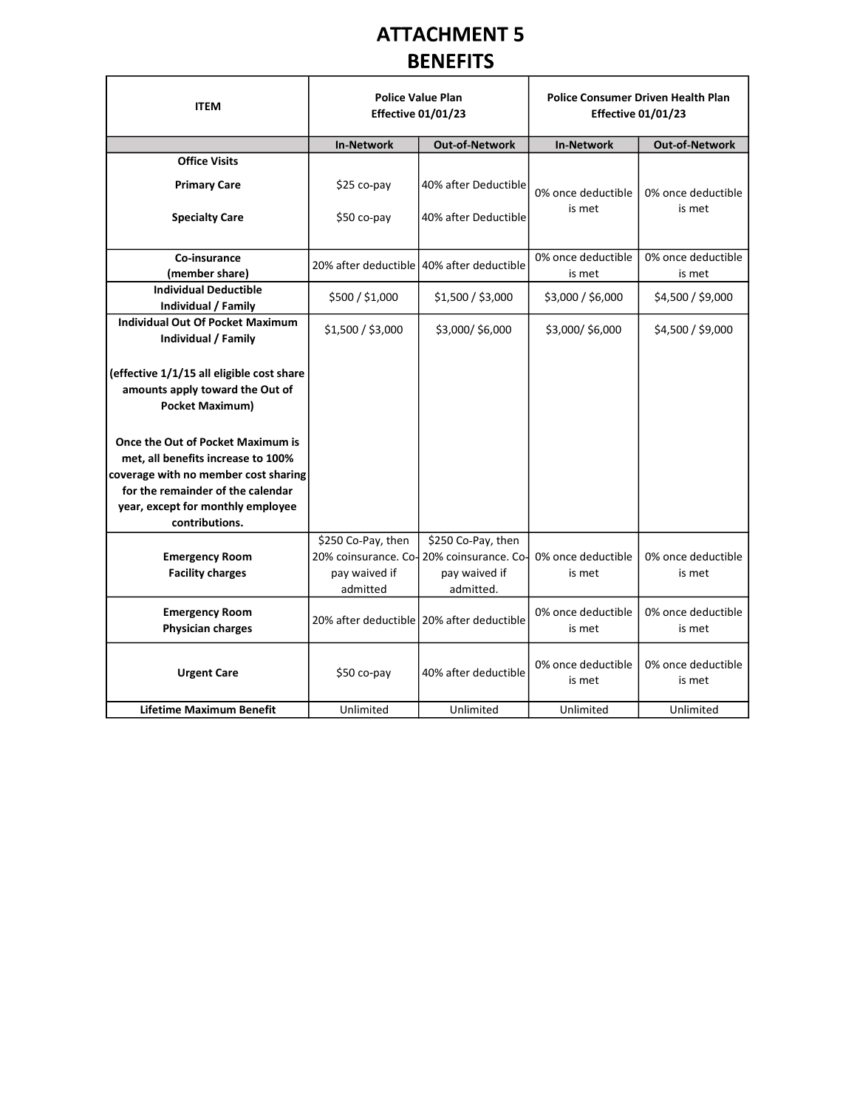|                                                                                                                                                                                                             |                                                 | <b>ATTACHMENT 5</b>                                                                                             |                              |                                                                        |
|-------------------------------------------------------------------------------------------------------------------------------------------------------------------------------------------------------------|-------------------------------------------------|-----------------------------------------------------------------------------------------------------------------|------------------------------|------------------------------------------------------------------------|
|                                                                                                                                                                                                             |                                                 | <b>BENEFITS</b>                                                                                                 |                              |                                                                        |
| <b>ITEM</b>                                                                                                                                                                                                 | <b>Effective 01/01/23</b>                       | <b>Police Value Plan</b>                                                                                        |                              | <b>Police Consumer Driven Health Plan</b><br><b>Effective 01/01/23</b> |
|                                                                                                                                                                                                             | <b>In-Network</b>                               | <b>Out-of-Network</b>                                                                                           | In-Network                   | Out-of-Network                                                         |
| <b>Office Visits</b>                                                                                                                                                                                        |                                                 |                                                                                                                 |                              |                                                                        |
| <b>Primary Care</b>                                                                                                                                                                                         | \$25 co-pay                                     | 40% after Deductible                                                                                            | 0% once deductible           | 0% once deductible                                                     |
| <b>Specialty Care</b>                                                                                                                                                                                       | \$50 co-pay                                     | 40% after Deductible                                                                                            | is met                       | is met                                                                 |
| Co-insurance<br>(member share)                                                                                                                                                                              | 20% after deductible 40% after deductible       |                                                                                                                 | 0% once deductible<br>is met | 0% once deductible<br>is met                                           |
| <b>Individual Deductible</b><br>Individual / Family                                                                                                                                                         | \$500 / \$1,000                                 | \$1,500 / \$3,000                                                                                               | \$3,000 / \$6,000            | \$4,500 / \$9,000                                                      |
| <b>Individual Out Of Pocket Maximum</b><br>Individual / Family                                                                                                                                              | \$1,500 / \$3,000                               | \$3,000/\$6,000                                                                                                 | \$3,000/\$6,000              | \$4,500 / \$9,000                                                      |
| $ $ (effective 1/1/15 all eligible cost share<br>amounts apply toward the Out of<br><b>Pocket Maximum)</b>                                                                                                  |                                                 |                                                                                                                 |                              |                                                                        |
| Once the Out of Pocket Maximum is<br>met, all benefits increase to 100%<br>coverage with no member cost sharing<br>for the remainder of the calendar<br>year, except for monthly employee<br>contributions. |                                                 |                                                                                                                 |                              |                                                                        |
| <b>Emergency Room</b><br><b>Facility charges</b>                                                                                                                                                            | \$250 Co-Pay, then<br>pay waived if<br>admitted | \$250 Co-Pay, then<br>20% coinsurance. Co-20% coinsurance. Co- 0% once deductible<br>pay waived if<br>admitted. | is met                       | 0% once deductible<br>is met                                           |
| <b>Emergency Room</b><br><b>Physician charges</b>                                                                                                                                                           |                                                 | 20% after deductible 20% after deductible                                                                       | 0% once deductible<br>is met | 0% once deductible<br>is met                                           |
| <b>Urgent Care</b>                                                                                                                                                                                          | \$50 co-pay                                     | 40% after deductible                                                                                            | 0% once deductible<br>is met | 0% once deductible<br>is met                                           |
| <b>Lifetime Maximum Benefit</b>                                                                                                                                                                             | Unlimited                                       | Unlimited                                                                                                       | Unlimited                    | Unlimited                                                              |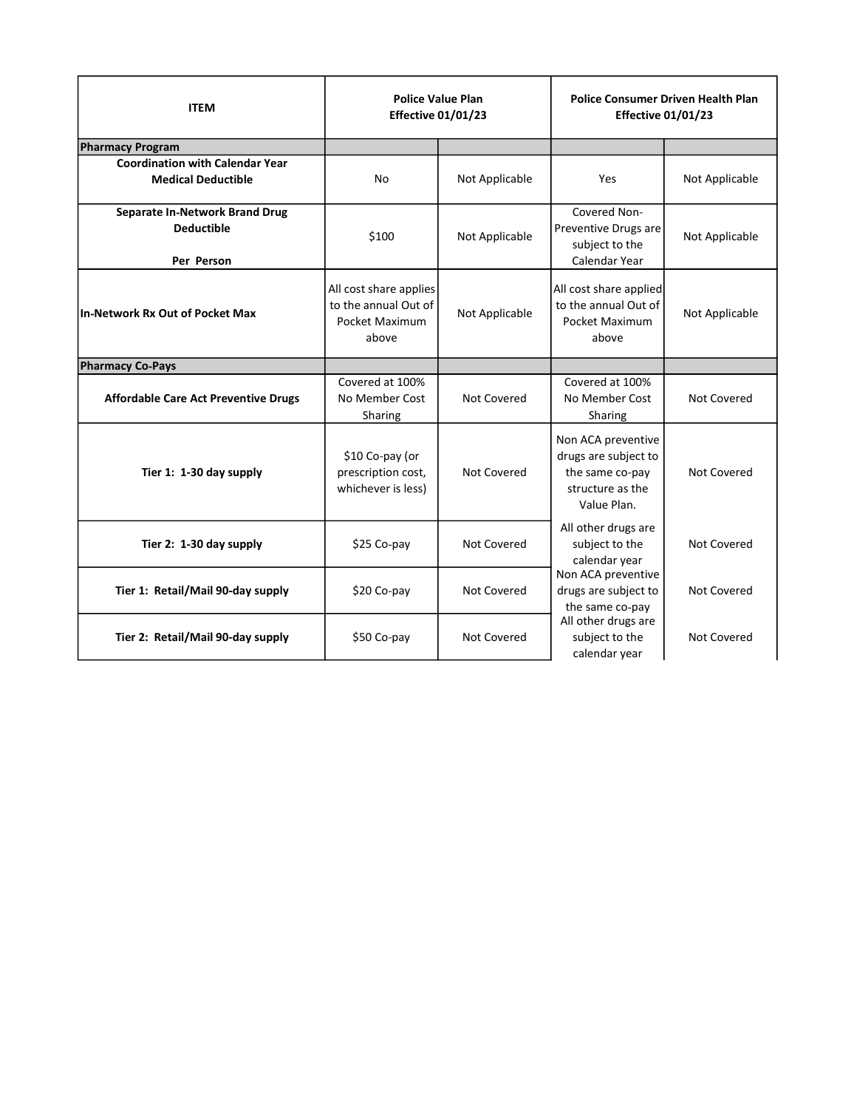| <b>ITEM</b>                                                         | <b>Police Value Plan</b><br><b>Effective 01/01/23</b>                     |                | <b>Police Consumer Driven Health Plan</b><br><b>Effective 01/01/23</b>                           |                |
|---------------------------------------------------------------------|---------------------------------------------------------------------------|----------------|--------------------------------------------------------------------------------------------------|----------------|
| <b>Pharmacy Program</b>                                             |                                                                           |                |                                                                                                  |                |
| <b>Coordination with Calendar Year</b><br><b>Medical Deductible</b> | No                                                                        | Not Applicable | Yes                                                                                              | Not Applicable |
| Separate In-Network Brand Drug<br><b>Deductible</b>                 | \$100                                                                     | Not Applicable | Covered Non-<br>Preventive Drugs are<br>subject to the<br>Calendar Year                          | Not Applicable |
| Per Person<br>In-Network Rx Out of Pocket Max                       | All cost share applies<br>to the annual Out of<br>Pocket Maximum<br>above | Not Applicable | All cost share applied<br>to the annual Out of<br>Pocket Maximum<br>above                        | Not Applicable |
| <b>Pharmacy Co-Pays</b>                                             |                                                                           |                |                                                                                                  |                |
| <b>Affordable Care Act Preventive Drugs</b>                         | Covered at 100%<br>No Member Cost<br>Sharing                              | Not Covered    | Covered at 100%<br>No Member Cost<br>Sharing                                                     | Not Covered    |
| Tier 1: 1-30 day supply                                             | \$10 Co-pay (or<br>prescription cost,<br>whichever is less)               | Not Covered    | Non ACA preventive<br>drugs are subject to<br>the same co-pay<br>structure as the<br>Value Plan. | Not Covered    |
| Tier 2: 1-30 day supply                                             | \$25 Co-pay                                                               | Not Covered    | All other drugs are<br>subject to the<br>calendar year                                           | Not Covered    |
| Tier 1: Retail/Mail 90-day supply                                   | \$20 Co-pay                                                               | Not Covered    | Non ACA preventive<br>drugs are subject to<br>the same co-pay                                    | Not Covered    |
|                                                                     | \$50 Co-pay                                                               | Not Covered    | All other drugs are<br>subject to the                                                            | Not Covered    |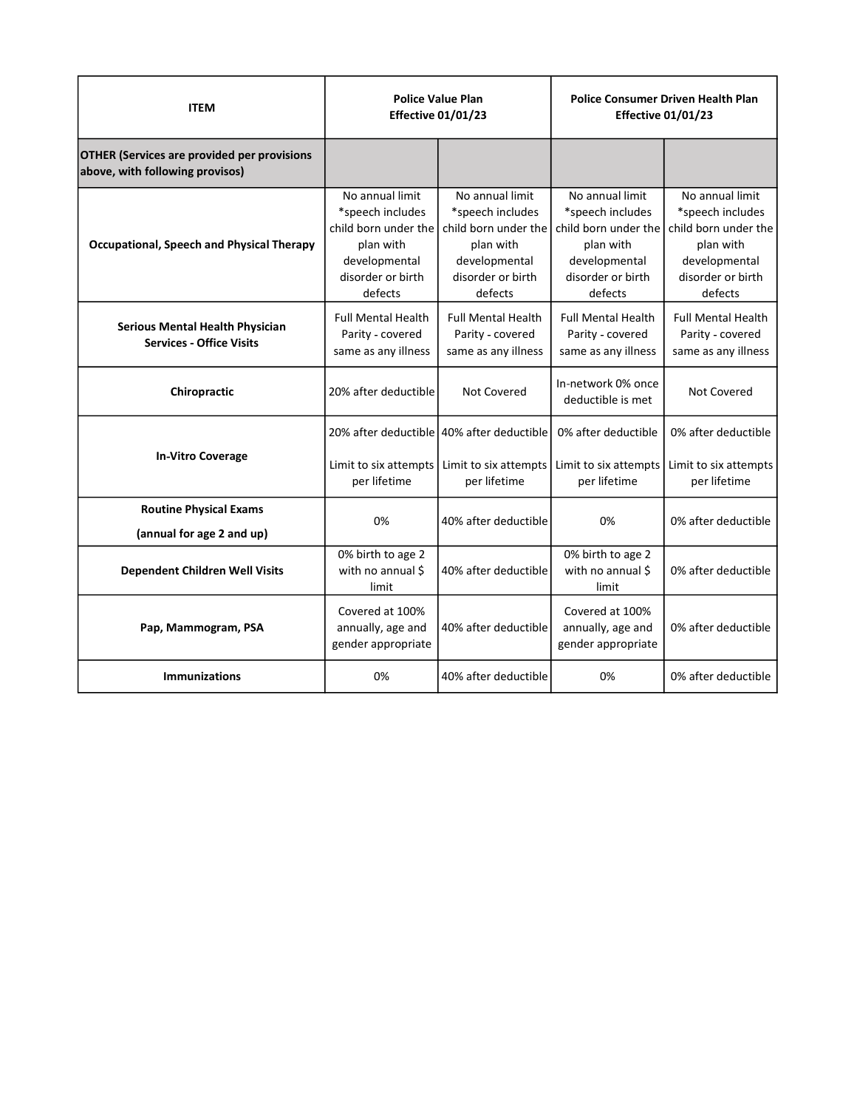| <b>ITEM</b>                                                                           |                                                            | <b>Police Value Plan</b>                                                                                      |                                                                | <b>Police Consumer Driven Health Plan</b> |
|---------------------------------------------------------------------------------------|------------------------------------------------------------|---------------------------------------------------------------------------------------------------------------|----------------------------------------------------------------|-------------------------------------------|
|                                                                                       |                                                            | <b>Effective 01/01/23</b>                                                                                     |                                                                | <b>Effective 01/01/23</b>                 |
| <b>OTHER (Services are provided per provisions</b><br>above, with following provisos) |                                                            |                                                                                                               |                                                                |                                           |
|                                                                                       | No annual limit<br>*speech includes                        | No annual limit<br>*speech includes                                                                           | No annual limit<br>*speech includes                            | No annual limit<br>*speech includes       |
| <b>Occupational, Speech and Physical Therapy</b>                                      | child born under the<br>plan with                          | child born under the<br>plan with                                                                             | child born under the $\vert$ child born under the<br>plan with | plan with                                 |
|                                                                                       | developmental<br>disorder or birth                         | developmental<br>disorder or birth                                                                            | developmental<br>disorder or birth                             | developmental<br>disorder or birth        |
|                                                                                       | defects                                                    | defects                                                                                                       | defects                                                        | defects                                   |
| Serious Mental Health Physician                                                       | Full Mental Health<br>Parity - covered                     | <b>Full Mental Health</b><br>Parity - covered                                                                 | <b>Full Mental Health</b><br>Parity - covered                  | Full Mental Health<br>Parity - covered    |
| <b>Services - Office Visits</b>                                                       | same as any illness                                        | same as any illness                                                                                           | same as any illness                                            | same as any illness                       |
| Chiropractic                                                                          | 20% after deductible                                       | Not Covered                                                                                                   | In-network 0% once<br>deductible is met                        | Not Covered                               |
|                                                                                       |                                                            | 20% after deductible 40% after deductible                                                                     | 0% after deductible                                            | 0% after deductible                       |
| <b>In-Vitro Coverage</b>                                                              | per lifetime                                               | Limit to six attempts   Limit to six attempts   Limit to six attempts   Limit to six attempts<br>per lifetime | per lifetime                                                   | per lifetime                              |
| <b>Routine Physical Exams</b>                                                         | 0%                                                         | 40% after deductible                                                                                          | 0%                                                             | 0% after deductible                       |
| (annual for age 2 and up)                                                             | 0% birth to age 2                                          |                                                                                                               |                                                                |                                           |
| Dependent Children Well Visits                                                        | with no annual \$<br>limit                                 | 40% after deductible                                                                                          | 0% birth to age 2<br>with no annual \$<br>limit                | 0% after deductible                       |
| Pap, Mammogram, PSA                                                                   | Covered at 100%<br>annually, age and<br>gender appropriate | 40% after deductible                                                                                          | Covered at 100%<br>annually, age and<br>gender appropriate     | 0% after deductible                       |
| Immunizations                                                                         | 0%                                                         | 40% after deductible                                                                                          | 0%                                                             | 0% after deductible                       |